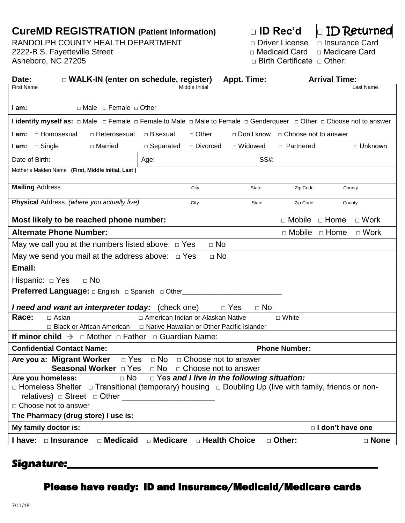## **CureMD REGISTRATION (Patient Information) □ ID Rec'd □** ID Returned

RANDOLPH COUNTY HEALTH DEPARTMENT □ Driver License □ Insurance Card 2222-B S. Fayetteville Street □ Medicaid Card □ Medicare Card

□ Birth Certificate □ Other:

| □ WALK-IN (enter on schedule, register)<br>Date:                                                                                                                                              |                      |                        | Appt. Time:    |      |                           | <b>Arrival Time:</b> |             |  |
|-----------------------------------------------------------------------------------------------------------------------------------------------------------------------------------------------|----------------------|------------------------|----------------|------|---------------------------|----------------------|-------------|--|
| <b>First Name</b>                                                                                                                                                                             |                      | Middle Initial         |                |      |                           |                      | Last Name   |  |
| $\Box$ Male $\Box$ Female $\Box$ Other<br>$I$ am:                                                                                                                                             |                      |                        |                |      |                           |                      |             |  |
| <b>I identify myself as:</b> □ Male □ Female □ Female to Male □ Male to Female □ Genderqueer □ Other □ Choose not to answer                                                                   |                      |                        |                |      |                           |                      |             |  |
| □ Homosexual<br>□ Heterosexual<br>I am:                                                                                                                                                       | □ Bisexual           | □ Other                | □ Don't know   |      | □ Choose not to answer    |                      |             |  |
| $\Box$ Single<br>□ Married<br>I am:                                                                                                                                                           | $\Box$ Separated     | □ Divorced             | $\Box$ Widowed |      | □ Partnered               |                      | □ Unknown   |  |
| Date of Birth:                                                                                                                                                                                | Age:                 |                        |                | SS#: |                           |                      |             |  |
| Mother's Maiden Name (First, Middle Initial, Last)                                                                                                                                            |                      |                        |                |      |                           |                      |             |  |
| <b>Mailing Address</b>                                                                                                                                                                        |                      | City                   | State          |      | Zip Code                  | County               |             |  |
| Physical Address (where you actually live)                                                                                                                                                    |                      | City                   | <b>State</b>   |      | Zip Code                  | County               |             |  |
| Most likely to be reached phone number:                                                                                                                                                       |                      |                        |                |      | $\Box$ Mobile $\Box$ Home |                      | $\Box$ Work |  |
| <b>Alternate Phone Number:</b>                                                                                                                                                                |                      |                        |                |      | $\Box$ Mobile             | $\Box$ Home          | $\Box$ Work |  |
| $\Box$ No<br>May we call you at the numbers listed above: $\Box$ Yes                                                                                                                          |                      |                        |                |      |                           |                      |             |  |
| May we send you mail at the address above: $\Box$ Yes<br>$\Box$ No                                                                                                                            |                      |                        |                |      |                           |                      |             |  |
| Email:                                                                                                                                                                                        |                      |                        |                |      |                           |                      |             |  |
| Hispanic: D Yes<br>$\Box$ No                                                                                                                                                                  |                      |                        |                |      |                           |                      |             |  |
| <b>Preferred Language:</b> $\Box$ English $\Box$ Spanish $\Box$ Other____                                                                                                                     |                      |                        |                |      |                           |                      |             |  |
| I need and want an interpreter today: (check one)<br>$\Box$ Yes<br>$\Box$ No                                                                                                                  |                      |                        |                |      |                           |                      |             |  |
| Race:<br>□ American Indian or Alaskan Native<br>$\Box$ Asian<br>□ White                                                                                                                       |                      |                        |                |      |                           |                      |             |  |
| □ Black or African American<br>□ Native Hawaiian or Other Pacific Islander                                                                                                                    |                      |                        |                |      |                           |                      |             |  |
| <b>If minor child</b> $\rightarrow$ $\Box$ Mother $\Box$ Father $\Box$ Guardian Name:                                                                                                         |                      |                        |                |      |                           |                      |             |  |
| <b>Confidential Contact Name:</b><br><b>Phone Number:</b>                                                                                                                                     |                      |                        |                |      |                           |                      |             |  |
| Are you a: Migrant Worker                                                                                                                                                                     | $\Box$ Yes $\Box$ No | □ Choose not to answer |                |      |                           |                      |             |  |
| <b>Seasonal Worker</b> $\Box$ Yes $\Box$ No $\Box$ Choose not to answer                                                                                                                       |                      |                        |                |      |                           |                      |             |  |
| $\Box$ No<br>$\Box$ Yes and I live in the following situation:<br>Are you homeless:<br>□ Homeless Shelter □ Transitional (temporary) housing □ Doubling Up (live with family, friends or non- |                      |                        |                |      |                           |                      |             |  |
|                                                                                                                                                                                               |                      |                        |                |      |                           |                      |             |  |
| □ Choose not to answer                                                                                                                                                                        |                      |                        |                |      |                           |                      |             |  |
| The Pharmacy (drug store) I use is:                                                                                                                                                           |                      |                        |                |      |                           |                      |             |  |
| My family doctor is:<br>$\Box$ I don't have one                                                                                                                                               |                      |                        |                |      |                           |                      |             |  |
| □ Medicaid<br>I have: <b>D</b> Insurance                                                                                                                                                      | $\square$ Medicare   | □ Health Choice        |                |      | □ Other:                  |                      | □ None      |  |
|                                                                                                                                                                                               |                      |                        |                |      |                           |                      |             |  |

### **Signature:\_\_\_\_\_\_\_\_\_\_\_\_\_\_\_\_\_\_\_\_\_\_\_\_\_\_\_\_\_\_\_\_\_\_\_\_\_\_\_\_\_\_\_\_\_\_\_\_\_\_\_\_\_\_\_\_\_\_\_**

# Please have ready: ID and Insurance/Medicaid/Medicare cards